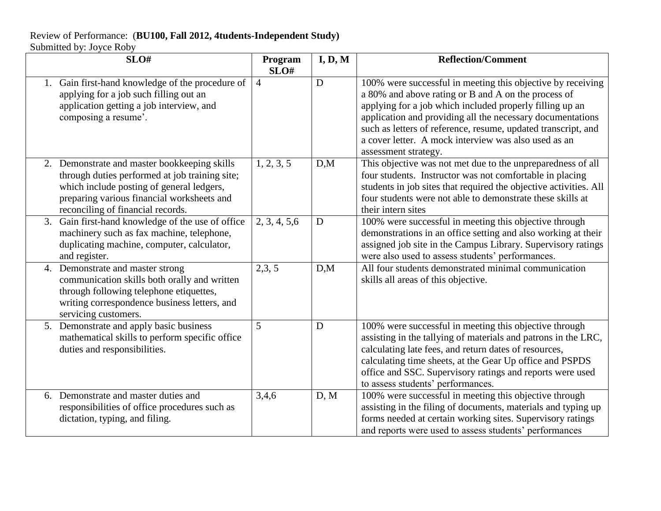## Review of Performance: (**BU100, Fall 2012, 4tudents-Independent Study)** Submitted by: Joyce Roby

| SLO#                                                                                                                                                                                                                           | Program<br>SLO# | I, D, M | <b>Reflection/Comment</b>                                                                                                                                                                                                                                                                                                                                                                     |
|--------------------------------------------------------------------------------------------------------------------------------------------------------------------------------------------------------------------------------|-----------------|---------|-----------------------------------------------------------------------------------------------------------------------------------------------------------------------------------------------------------------------------------------------------------------------------------------------------------------------------------------------------------------------------------------------|
| 1. Gain first-hand knowledge of the procedure of<br>applying for a job such filling out an<br>application getting a job interview, and<br>composing a resume'.                                                                 | $\overline{4}$  | D       | 100% were successful in meeting this objective by receiving<br>a 80% and above rating or B and A on the process of<br>applying for a job which included properly filling up an<br>application and providing all the necessary documentations<br>such as letters of reference, resume, updated transcript, and<br>a cover letter. A mock interview was also used as an<br>assessment strategy. |
| 2. Demonstrate and master bookkeeping skills<br>through duties performed at job training site;<br>which include posting of general ledgers,<br>preparing various financial worksheets and<br>reconciling of financial records. | 1, 2, 3, 5      | D,M     | This objective was not met due to the unpreparedness of all<br>four students. Instructor was not comfortable in placing<br>students in job sites that required the objective activities. All<br>four students were not able to demonstrate these skills at<br>their intern sites                                                                                                              |
| 3. Gain first-hand knowledge of the use of office<br>machinery such as fax machine, telephone,<br>duplicating machine, computer, calculator,<br>and register.                                                                  | 2, 3, 4, 5, 6   | D       | 100% were successful in meeting this objective through<br>demonstrations in an office setting and also working at their<br>assigned job site in the Campus Library. Supervisory ratings<br>were also used to assess students' performances.                                                                                                                                                   |
| 4. Demonstrate and master strong<br>communication skills both orally and written<br>through following telephone etiquettes,<br>writing correspondence business letters, and<br>servicing customers.                            | 2,3,5           | D,M     | All four students demonstrated minimal communication<br>skills all areas of this objective.                                                                                                                                                                                                                                                                                                   |
| 5. Demonstrate and apply basic business<br>mathematical skills to perform specific office<br>duties and responsibilities.                                                                                                      | 5               | D       | 100% were successful in meeting this objective through<br>assisting in the tallying of materials and patrons in the LRC,<br>calculating late fees, and return dates of resources,<br>calculating time sheets, at the Gear Up office and PSPDS<br>office and SSC. Supervisory ratings and reports were used<br>to assess students' performances.                                               |
| 6. Demonstrate and master duties and<br>responsibilities of office procedures such as<br>dictation, typing, and filing.                                                                                                        | 3,4,6           | D, M    | 100% were successful in meeting this objective through<br>assisting in the filing of documents, materials and typing up<br>forms needed at certain working sites. Supervisory ratings<br>and reports were used to assess students' performances                                                                                                                                               |